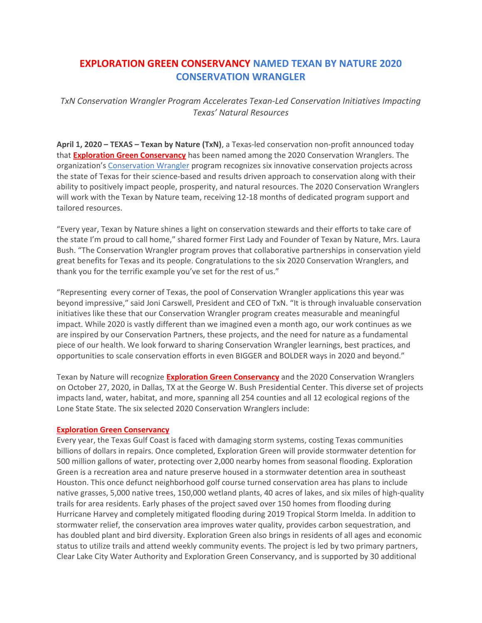# EXPLORATION GREEN CONSERVANCY NAMED TEXAN BY NATURE 2020 CONSERVATION WRANGLER

TxN Conservation Wrangler Program Accelerates Texan-Led Conservation Initiatives Impacting Texas' Natural Resources

April 1, 2020 – TEXAS – Texan by Nature (TxN), a Texas-led conservation non-profit announced today that **Exploration Green Conservancy** has been named among the 2020 Conservation Wranglers. The organization's Conservation Wrangler program recognizes six innovative conservation projects across the state of Texas for their science-based and results driven approach to conservation along with their ability to positively impact people, prosperity, and natural resources. The 2020 Conservation Wranglers will work with the Texan by Nature team, receiving 12-18 months of dedicated program support and tailored resources.

"Every year, Texan by Nature shines a light on conservation stewards and their efforts to take care of the state I'm proud to call home," shared former First Lady and Founder of Texan by Nature, Mrs. Laura Bush. "The Conservation Wrangler program proves that collaborative partnerships in conservation yield great benefits for Texas and its people. Congratulations to the six 2020 Conservation Wranglers, and thank you for the terrific example you've set for the rest of us."

"Representing every corner of Texas, the pool of Conservation Wrangler applications this year was beyond impressive," said Joni Carswell, President and CEO of TxN. "It is through invaluable conservation initiatives like these that our Conservation Wrangler program creates measurable and meaningful impact. While 2020 is vastly different than we imagined even a month ago, our work continues as we are inspired by our Conservation Partners, these projects, and the need for nature as a fundamental piece of our health. We look forward to sharing Conservation Wrangler learnings, best practices, and opportunities to scale conservation efforts in even BIGGER and BOLDER ways in 2020 and beyond."

Texan by Nature will recognize Exploration Green Conservancy and the 2020 Conservation Wranglers on October 27, 2020, in Dallas, TX at the George W. Bush Presidential Center. This diverse set of projects impacts land, water, habitat, and more, spanning all 254 counties and all 12 ecological regions of the Lone State State. The six selected 2020 Conservation Wranglers include:

### Exploration Green Conservancy

Every year, the Texas Gulf Coast is faced with damaging storm systems, costing Texas communities billions of dollars in repairs. Once completed, Exploration Green will provide stormwater detention for 500 million gallons of water, protecting over 2,000 nearby homes from seasonal flooding. Exploration Green is a recreation area and nature preserve housed in a stormwater detention area in southeast Houston. This once defunct neighborhood golf course turned conservation area has plans to include native grasses, 5,000 native trees, 150,000 wetland plants, 40 acres of lakes, and six miles of high-quality trails for area residents. Early phases of the project saved over 150 homes from flooding during Hurricane Harvey and completely mitigated flooding during 2019 Tropical Storm Imelda. In addition to stormwater relief, the conservation area improves water quality, provides carbon sequestration, and has doubled plant and bird diversity. Exploration Green also brings in residents of all ages and economic status to utilize trails and attend weekly community events. The project is led by two primary partners, Clear Lake City Water Authority and Exploration Green Conservancy, and is supported by 30 additional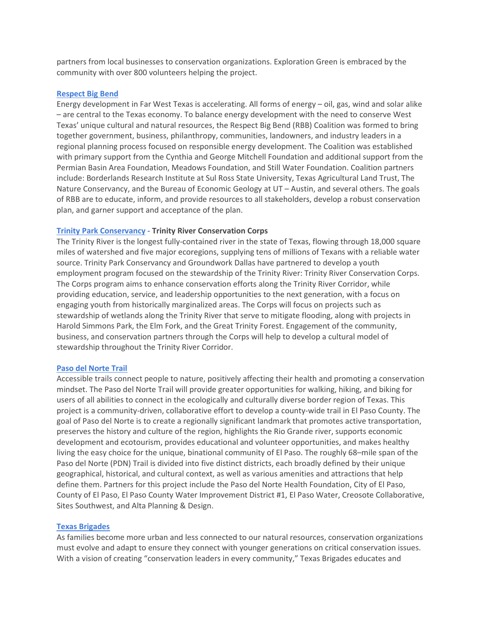partners from local businesses to conservation organizations. Exploration Green is embraced by the community with over 800 volunteers helping the project.

#### Respect Big Bend

Energy development in Far West Texas is accelerating. All forms of energy – oil, gas, wind and solar alike – are central to the Texas economy. To balance energy development with the need to conserve West Texas' unique cultural and natural resources, the Respect Big Bend (RBB) Coalition was formed to bring together government, business, philanthropy, communities, landowners, and industry leaders in a regional planning process focused on responsible energy development. The Coalition was established with primary support from the Cynthia and George Mitchell Foundation and additional support from the Permian Basin Area Foundation, Meadows Foundation, and Still Water Foundation. Coalition partners include: Borderlands Research Institute at Sul Ross State University, Texas Agricultural Land Trust, The Nature Conservancy, and the Bureau of Economic Geology at UT – Austin, and several others. The goals of RBB are to educate, inform, and provide resources to all stakeholders, develop a robust conservation plan, and garner support and acceptance of the plan.

### Trinity Park Conservancy - Trinity River Conservation Corps

The Trinity River is the longest fully-contained river in the state of Texas, flowing through 18,000 square miles of watershed and five major ecoregions, supplying tens of millions of Texans with a reliable water source. Trinity Park Conservancy and Groundwork Dallas have partnered to develop a youth employment program focused on the stewardship of the Trinity River: Trinity River Conservation Corps. The Corps program aims to enhance conservation efforts along the Trinity River Corridor, while providing education, service, and leadership opportunities to the next generation, with a focus on engaging youth from historically marginalized areas. The Corps will focus on projects such as stewardship of wetlands along the Trinity River that serve to mitigate flooding, along with projects in Harold Simmons Park, the Elm Fork, and the Great Trinity Forest. Engagement of the community, business, and conservation partners through the Corps will help to develop a cultural model of stewardship throughout the Trinity River Corridor.

### Paso del Norte Trail

Accessible trails connect people to nature, positively affecting their health and promoting a conservation mindset. The Paso del Norte Trail will provide greater opportunities for walking, hiking, and biking for users of all abilities to connect in the ecologically and culturally diverse border region of Texas. This project is a community-driven, collaborative effort to develop a county-wide trail in El Paso County. The goal of Paso del Norte is to create a regionally significant landmark that promotes active transportation, preserves the history and culture of the region, highlights the Rio Grande river, supports economic development and ecotourism, provides educational and volunteer opportunities, and makes healthy living the easy choice for the unique, binational community of El Paso. The roughly 68–mile span of the Paso del Norte (PDN) Trail is divided into five distinct districts, each broadly defined by their unique geographical, historical, and cultural context, as well as various amenities and attractions that help define them. Partners for this project include the Paso del Norte Health Foundation, City of El Paso, County of El Paso, El Paso County Water Improvement District #1, El Paso Water, Creosote Collaborative, Sites Southwest, and Alta Planning & Design.

### Texas Brigades

As families become more urban and less connected to our natural resources, conservation organizations must evolve and adapt to ensure they connect with younger generations on critical conservation issues. With a vision of creating "conservation leaders in every community," Texas Brigades educates and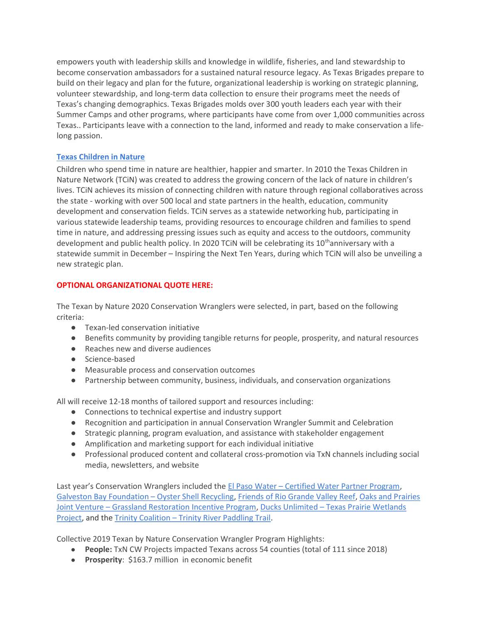empowers youth with leadership skills and knowledge in wildlife, fisheries, and land stewardship to become conservation ambassadors for a sustained natural resource legacy. As Texas Brigades prepare to build on their legacy and plan for the future, organizational leadership is working on strategic planning, volunteer stewardship, and long-term data collection to ensure their programs meet the needs of Texas's changing demographics. Texas Brigades molds over 300 youth leaders each year with their Summer Camps and other programs, where participants have come from over 1,000 communities across Texas.. Participants leave with a connection to the land, informed and ready to make conservation a lifelong passion.

## Texas Children in Nature

Children who spend time in nature are healthier, happier and smarter. In 2010 the Texas Children in Nature Network (TCiN) was created to address the growing concern of the lack of nature in children's lives. TCiN achieves its mission of connecting children with nature through regional collaboratives across the state - working with over 500 local and state partners in the health, education, community development and conservation fields. TCiN serves as a statewide networking hub, participating in various statewide leadership teams, providing resources to encourage children and families to spend time in nature, and addressing pressing issues such as equity and access to the outdoors, community development and public health policy. In 2020 TCiN will be celebrating its 10<sup>th</sup>anniversary with a statewide summit in December – Inspiring the Next Ten Years, during which TCiN will also be unveiling a new strategic plan.

## OPTIONAL ORGANIZATIONAL QUOTE HERE:

The Texan by Nature 2020 Conservation Wranglers were selected, in part, based on the following criteria:

- Texan-led conservation initiative
- Benefits community by providing tangible returns for people, prosperity, and natural resources
- Reaches new and diverse audiences
- Science-based
- Measurable process and conservation outcomes
- Partnership between community, business, individuals, and conservation organizations

All will receive 12-18 months of tailored support and resources including:

- Connections to technical expertise and industry support
- Recognition and participation in annual Conservation Wrangler Summit and Celebration
- Strategic planning, program evaluation, and assistance with stakeholder engagement
- Amplification and marketing support for each individual initiative
- Professional produced content and collateral cross-promotion via TxN channels including social media, newsletters, and website

Last year's Conservation Wranglers included the El Paso Water – Certified Water Partner Program, Galveston Bay Foundation – Oyster Shell Recycling, Friends of Rio Grande Valley Reef, Oaks and Prairies Joint Venture – Grassland Restoration Incentive Program, Ducks Unlimited – Texas Prairie Wetlands Project, and the Trinity Coalition – Trinity River Paddling Trail.

Collective 2019 Texan by Nature Conservation Wrangler Program Highlights:

- People: TxN CW Projects impacted Texans across 54 counties (total of 111 since 2018)
- Prosperity: \$163.7 million in economic benefit